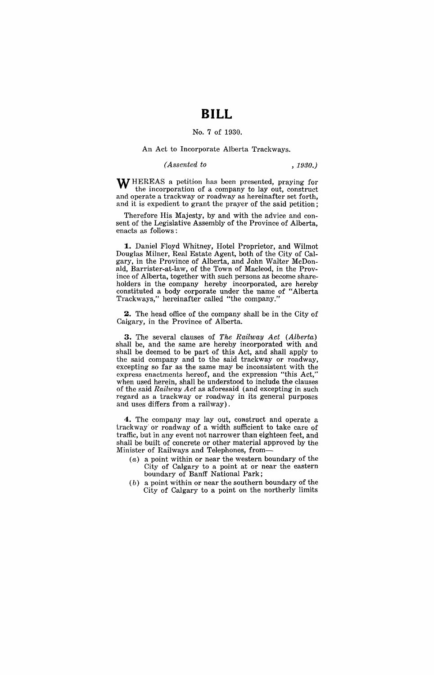## **BILL**

### No. 7 of 1930.

#### An Act to Incorporate Alberta Trackways.

#### *(Assented to , 1930.)*

WHEREAS a petition has been presented, praying for the incorporation of a company to layout, construct and operate a trackway or roadway as hereinafter set forth, and it is expedient to grant the prayer of the said petition;

Therefore His Majesty, by and with the advice and consent of the Legislative Assembly of the Province of Alberta, enacts as follows:

**1.** Daniel Floyd Whitney, Hotel Proprietor, and Wilmot Douglas Milner, Real Estate Agent, both of the City of Calgary, in the Province of Alberta, and John Walter McDonald, Barrister-at-Iaw, of the Town of Macleod, in the Province of Alberta, together with such persons as become shareholders in the company hereby incorporated, are hereby constituted a body corporate under the name of "Alberta Trackways," hereinafter called "the company."

**2.** The head office of the company shall be in the City of Caigary, in the Province of Alberta.

**3.** The several clauses of The Railway Act (Alberta) shall be, and the same are hereby incorporated with and shall be deemed to be part of this Act, and shall apply to the said company and to the said trackway or roadway, excepting so far as the same may be inconsistent with the express enactments hereof, and the expression "this Act," when used herein, shall be understood to include the clauses of the said Railway Act as aforesaid (and excepting in such regard as a trackway or roadway in its general purposes and uses differs from a railway).

4. The company may lay out, construct and operate a trackway· or roadway of a width sufficient to take care of traffic, but in any event not narrower than eighteen feet, and shall be built of concrete or other material approved by the Minister of Railways and Telephones, from-

- $(a)$  a point within or near the western boundary of the City of Calgary to a point at or near the eastern boundary of Banff National Park;
- $(b)$  a point within or near the southern boundary of the City of Calgary to a point on the northerly limits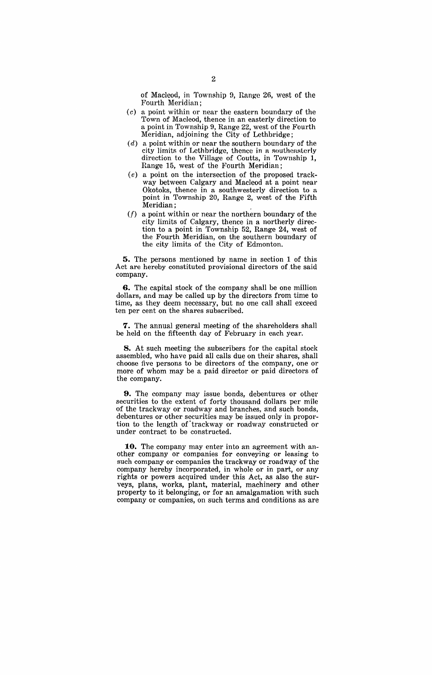of Macleod, in Township 9, Range 26, west of the Fourth Meridian;

- (c) a point within or near the eastern boundary of the Town of Macleod, thence in an easterly direction to a point in Township 9, Range 22, west of the Fourth Meridian, adjoining the City of Lethbridge;
- $(d)$  a point within or near the southern boundary of the city limits of Lethbridge, thence in a southeasterly direction to the Village of Coutts, in Township **1,**  Range 15, west of the Fourth Meridian;
- (e) a point on the intersection of the proposed trackway between Calgary and Macleod at a point near Okotoks, thence in a southwesterly direction to a point in Township 20, Range 2, west of the Fifth Meridian; .
- $(f)$  a point within or near the northern boundary of the city limits of Calgary, thence in a northerly direction to a point in Township 52, Range 24, west of the Fourth Meridian, on the southern boundary of the city limits of the City of Edmonton.

**5.** The persons mentioned by name in section 1 of this Act are hereby constituted provisional directors of the said company.

**6.** The capital stock of the company shall be one million dollars, and may be called up by the directors from time to time, as they deem necessary, but no one call shall exceed ten per cent on the shares subscribed.

7. The annual general meeting of the shareholders shall be held on the fifteenth day of February in each year.

**8.** At such meeting the subscribers for the capital stock assembled, who have paid all calls due on their shares, shall choose five persons to be directors of the company, one or more of whom may be a paid director or paid directors of the company.

**9.** The company may issue bonds, debentures or other securities to the extent of forty thousand dollars per mile of the trackway or roadway and branches, and such bonds, debentures or other securities may be issued only in proportion to the length of'trackway or roadway constructed or under contract to be constructed.

**10.** The company may enter into an agreement with another company or companies for conveying or leasing to such company or companies the trackway or roadway of the company hereby incorporated, in whole or in part, or any rights or powers acquired under this Act, as also the surveys, plans, works, plant, material, machinery and other property to it belonging, or for an amalgamation with such company or companies, on such terms and conditions as are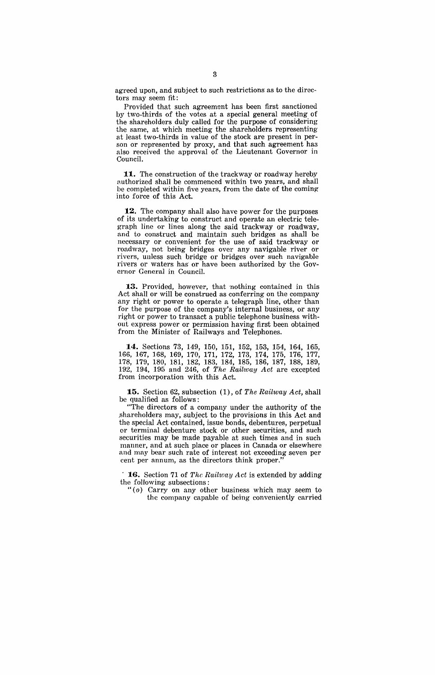agreed upon, and subject to such restrictions as to the directors may seem fit:

Provided that such agreement has been first sanctioned by two-thirds of the votes at a special general meeting of the shareholders duly called for the purpose of considering the same, at which meeting the shareholders representing at least two-thirds in value of the stock are present in person or represented by proxy, and that such agreement has also received the approval of the Lieutenant Governor in Council.

11. The construction of the trackway or roadway hereby authorized shall be commenced within two years, and shall be completed within five years, from the date of the coming into force of this Act.

**12.** The company shall also have power for the purposes of its undertaking to construct and operate an electric telegraph line or lines along the said trackway or roadway, and to construct and maintain such bridges as shall be necessary or convenient for the use of said trackway or roadway, not being bridges over any navigable river or rivers, unless such bridge or bridges over such navigable rivers or waters has or have been authorized by the Governor General in Council.

13. Provided, however, that nothing contained in this Act shall or will be construed as conferring on the company any right or power to operate a telegraph line, other than for the purpose of the company's internal business, or any right or power to transact a public telephone business without express power or permission having first been obtained from the Minister of Railways and Telephones.

**14.** Sections 73, 149, 150, 151, 152, 153, 154, 164, 165, 166, 167, 168, 169, 170, 171, 172, 173, 174, 175, 176, 177, 178, 179, 180, 181, 182, 183, 184, 185, 186, 187, 188, 189, 192, 194, 195 and 246, of *The Railway* Act are excepted from incorporation with this Act.

**15.** Section 62, subsection (1), of *The Railway Act*, shall be qualified as follows:

"The directors of a company under the authority of the shareholders may, subject to the provisions in this Act and the special Act contained, issue bonds, debentures, perpetual or terminal debenture stock or other securities, and such securities may be made payable at such times and in such manner, and at such place or places in Canada or elsewhere and may bear such rate of interest not exceeding seven per cent per annum, as the directors think proper."

16. Section 71 of *The Railway Act* is extended by adding the following subsections:

" (0) Carryon any other business which may seem to the company capable of being conveniently carried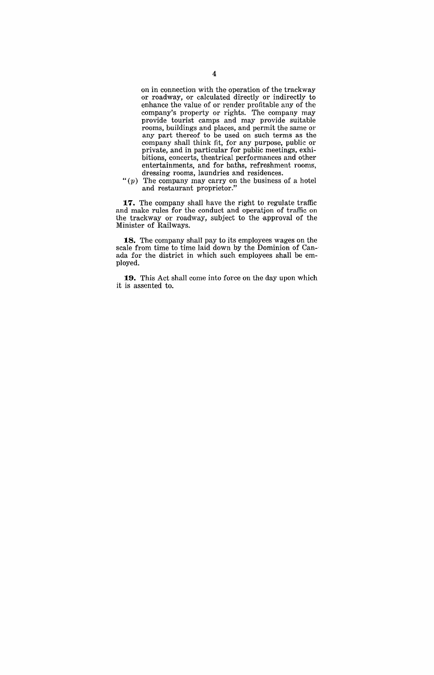on in connection with the operation of the trackway or roadway, or calculated directly or indirectly to enhance the value of or render profitable any of the company's property or rights. The company may provide tourist camps and may provide suitable rooms, buildings and places, and permit the same or any part thereof to be used on such terms as the company shall think fit, for any purpose, publie or private, and in particular for public meetings, exhibitions, concerts, theatrical performances and other entertainments, and for baths, refreshment rooms, dressing rooms, laundries and residences.

 $"(p)$  The company may carry on the business of a hotel and restaurant proprietor."

**17.** The company shall have the right to regulate traffic and make rules for the conduct and operatjon of traffie on the trackway or roadway, subject to the approval of the Minister of Railways.

**18.** The company shall pay to its employees wages on the scale from time to time laid down by the Dominion of Canada for the district in which such employees shall be employed.

**19.** This Act shall come into force on the day upon which it is assented to.